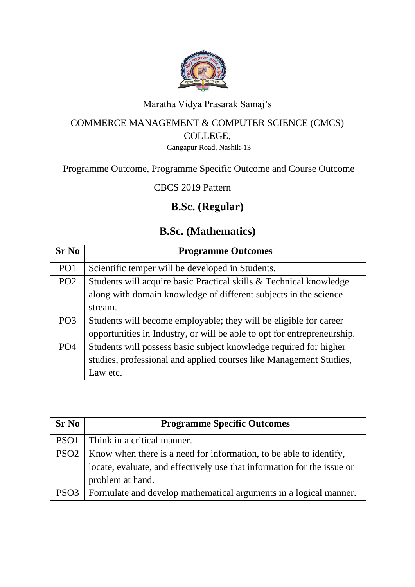

#### Maratha Vidya Prasarak Samaj's

#### COMMERCE MANAGEMENT & COMPUTER SCIENCE (CMCS) COLLEGE,

Gangapur Road, Nashik-13

#### Programme Outcome, Programme Specific Outcome and Course Outcome

CBCS 2019 Pattern

### **B.Sc. (Regular)**

#### **B.Sc. (Mathematics)**

| $Sr$ No         | <b>Programme Outcomes</b>                                               |
|-----------------|-------------------------------------------------------------------------|
| PO <sub>1</sub> | Scientific temper will be developed in Students.                        |
| PO <sub>2</sub> | Students will acquire basic Practical skills & Technical knowledge      |
|                 | along with domain knowledge of different subjects in the science        |
|                 | stream.                                                                 |
| PO <sub>3</sub> | Students will become employable; they will be eligible for career       |
|                 | opportunities in Industry, or will be able to opt for entrepreneurship. |
| PO <sub>4</sub> | Students will possess basic subject knowledge required for higher       |
|                 | studies, professional and applied courses like Management Studies,      |
|                 | Law etc.                                                                |

| <b>Sr No</b>     | <b>Programme Specific Outcomes</b>                                      |
|------------------|-------------------------------------------------------------------------|
| PSO <sub>1</sub> | Think in a critical manner.                                             |
| PSO <sub>2</sub> | Know when there is a need for information, to be able to identify,      |
|                  | locate, evaluate, and effectively use that information for the issue or |
|                  | problem at hand.                                                        |
| PSO <sub>3</sub> | Formulate and develop mathematical arguments in a logical manner.       |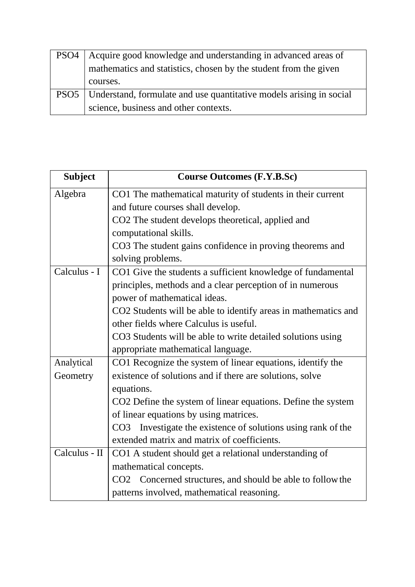| PSO <sub>4</sub> | Acquire good knowledge and understanding in advanced areas of       |
|------------------|---------------------------------------------------------------------|
|                  | mathematics and statistics, chosen by the student from the given    |
|                  | courses.                                                            |
| PSO <sub>5</sub> | Understand, formulate and use quantitative models arising in social |
|                  | science, business and other contexts.                               |

| <b>Subject</b> | <b>Course Outcomes (F.Y.B.Sc)</b>                                           |
|----------------|-----------------------------------------------------------------------------|
| Algebra        | CO1 The mathematical maturity of students in their current                  |
|                | and future courses shall develop.                                           |
|                | CO2 The student develops theoretical, applied and                           |
|                | computational skills.                                                       |
|                | CO3 The student gains confidence in proving theorems and                    |
|                | solving problems.                                                           |
| Calculus - I   | CO1 Give the students a sufficient knowledge of fundamental                 |
|                | principles, methods and a clear perception of in numerous                   |
|                | power of mathematical ideas.                                                |
|                | CO2 Students will be able to identify areas in mathematics and              |
|                | other fields where Calculus is useful.                                      |
|                | CO3 Students will be able to write detailed solutions using                 |
|                | appropriate mathematical language.                                          |
| Analytical     | CO1 Recognize the system of linear equations, identify the                  |
| Geometry       | existence of solutions and if there are solutions, solve                    |
|                | equations.                                                                  |
|                | CO2 Define the system of linear equations. Define the system                |
|                | of linear equations by using matrices.                                      |
|                | Investigate the existence of solutions using rank of the<br>CO <sub>3</sub> |
|                | extended matrix and matrix of coefficients.                                 |
| Calculus - II  | CO1 A student should get a relational understanding of                      |
|                | mathematical concepts.                                                      |
|                | CO2 Concerned structures, and should be able to follow the                  |
|                | patterns involved, mathematical reasoning.                                  |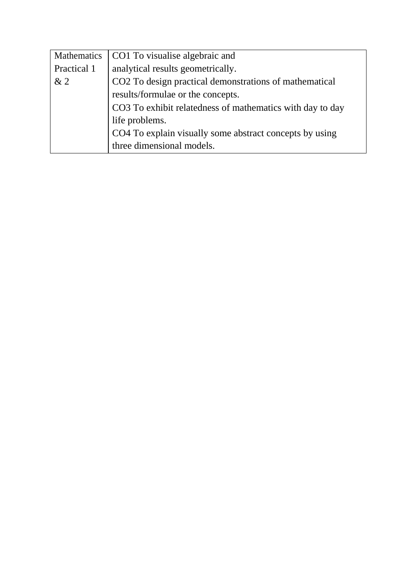| <b>Mathematics</b> | CO1 To visualise algebraic and                            |
|--------------------|-----------------------------------------------------------|
| Practical 1        | analytical results geometrically.                         |
| &2                 | CO2 To design practical demonstrations of mathematical    |
|                    | results/formulae or the concepts.                         |
|                    | CO3 To exhibit relatedness of mathematics with day to day |
|                    | life problems.                                            |
|                    | CO4 To explain visually some abstract concepts by using   |
|                    | three dimensional models.                                 |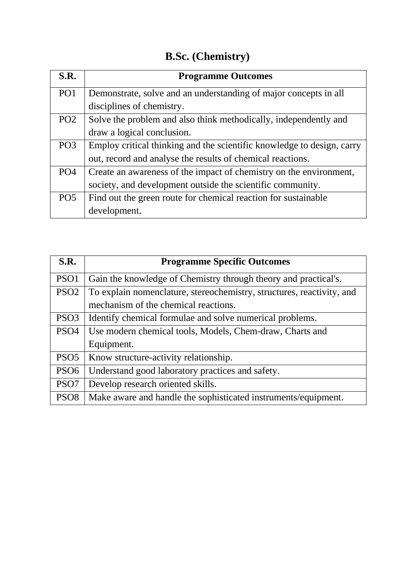## **B.Sc. (Chemistry)**

| S.R.            | <b>Programme Outcomes</b>                                              |
|-----------------|------------------------------------------------------------------------|
| PO <sub>1</sub> | Demonstrate, solve and an understanding of major concepts in all       |
|                 | disciplines of chemistry.                                              |
| PO <sub>2</sub> | Solve the problem and also think methodically, independently and       |
|                 | draw a logical conclusion.                                             |
| PO <sub>3</sub> | Employ critical thinking and the scientific knowledge to design, carry |
|                 | out, record and analyse the results of chemical reactions.             |
| PO <sub>4</sub> | Create an awareness of the impact of chemistry on the environment,     |
|                 | society, and development outside the scientific community.             |
| PO <sub>5</sub> | Find out the green route for chemical reaction for sustainable         |
|                 | development.                                                           |

| S.R.             | <b>Programme Specific Outcomes</b>                                    |
|------------------|-----------------------------------------------------------------------|
| PSO <sub>1</sub> | Gain the knowledge of Chemistry through theory and practical's.       |
| PSO <sub>2</sub> | To explain nomenclature, stereochemistry, structures, reactivity, and |
|                  | mechanism of the chemical reactions.                                  |
| PSO <sub>3</sub> | Identify chemical formulae and solve numerical problems.              |
| PSO <sub>4</sub> | Use modern chemical tools, Models, Chem-draw, Charts and              |
|                  | Equipment.                                                            |
| PSO <sub>5</sub> | Know structure-activity relationship.                                 |
| PSO <sub>6</sub> | Understand good laboratory practices and safety.                      |
| PSO <sub>7</sub> | Develop research oriented skills.                                     |
| PSO <sub>8</sub> | Make aware and handle the sophisticated instruments/equipment.        |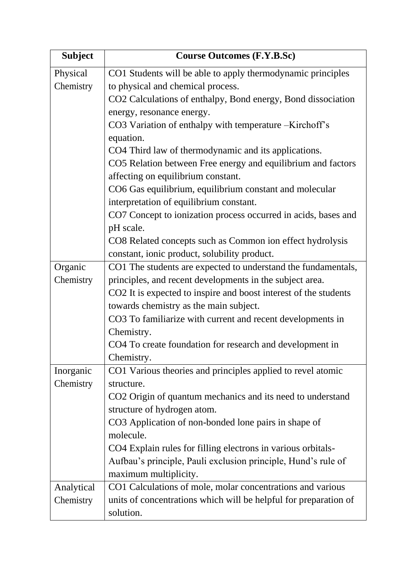| <b>Subject</b> | <b>Course Outcomes (F.Y.B.Sc)</b>                                |
|----------------|------------------------------------------------------------------|
| Physical       | CO1 Students will be able to apply thermodynamic principles      |
| Chemistry      | to physical and chemical process.                                |
|                | CO2 Calculations of enthalpy, Bond energy, Bond dissociation     |
|                | energy, resonance energy.                                        |
|                | CO3 Variation of enthalpy with temperature –Kirchoff's           |
|                | equation.                                                        |
|                | CO4 Third law of thermodynamic and its applications.             |
|                | CO5 Relation between Free energy and equilibrium and factors     |
|                | affecting on equilibrium constant.                               |
|                | CO6 Gas equilibrium, equilibrium constant and molecular          |
|                | interpretation of equilibrium constant.                          |
|                | CO7 Concept to ionization process occurred in acids, bases and   |
|                | pH scale.                                                        |
|                | CO8 Related concepts such as Common ion effect hydrolysis        |
|                | constant, ionic product, solubility product.                     |
| Organic        | CO1 The students are expected to understand the fundamentals,    |
| Chemistry      | principles, and recent developments in the subject area.         |
|                | CO2 It is expected to inspire and boost interest of the students |
|                | towards chemistry as the main subject.                           |
|                | CO3 To familiarize with current and recent developments in       |
|                | Chemistry.                                                       |
|                | CO4 To create foundation for research and development in         |
|                | Chemistry.                                                       |
| Inorganic      | CO1 Various theories and principles applied to revel atomic      |
| Chemistry      | structure.                                                       |
|                | CO2 Origin of quantum mechanics and its need to understand       |
|                | structure of hydrogen atom.                                      |
|                | CO3 Application of non-bonded lone pairs in shape of             |
|                | molecule.                                                        |
|                | CO4 Explain rules for filling electrons in various orbitals-     |
|                | Aufbau's principle, Pauli exclusion principle, Hund's rule of    |
|                | maximum multiplicity.                                            |
| Analytical     | CO1 Calculations of mole, molar concentrations and various       |
| Chemistry      | units of concentrations which will be helpful for preparation of |
|                | solution.                                                        |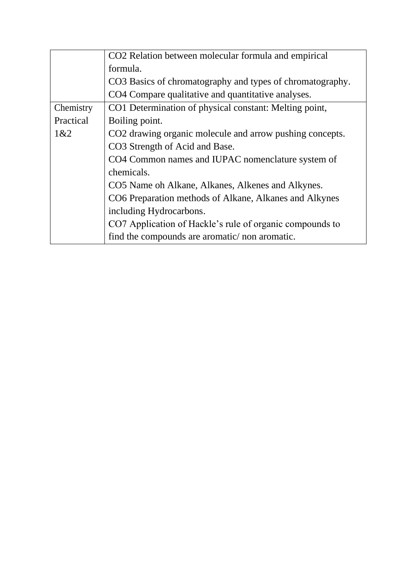|           | CO2 Relation between molecular formula and empirical      |
|-----------|-----------------------------------------------------------|
|           | formula.                                                  |
|           | CO3 Basics of chromatography and types of chromatography. |
|           | CO4 Compare qualitative and quantitative analyses.        |
| Chemistry | CO1 Determination of physical constant: Melting point,    |
| Practical | Boiling point.                                            |
| 1&2       | CO2 drawing organic molecule and arrow pushing concepts.  |
|           | CO3 Strength of Acid and Base.                            |
|           | CO4 Common names and IUPAC nomenclature system of         |
|           | chemicals.                                                |
|           | CO5 Name oh Alkane, Alkanes, Alkenes and Alkynes.         |
|           | CO6 Preparation methods of Alkane, Alkanes and Alkynes    |
|           | including Hydrocarbons.                                   |
|           | CO7 Application of Hackle's rule of organic compounds to  |
|           | find the compounds are aromatic/non aromatic.             |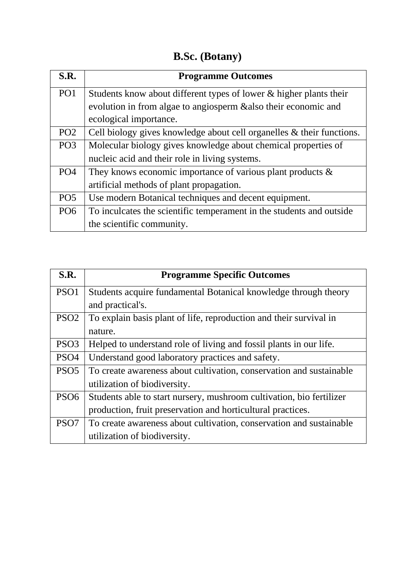## **B.Sc. (Botany)**

| S.R.            | <b>Programme Outcomes</b>                                             |
|-----------------|-----------------------------------------------------------------------|
| PO <sub>1</sub> | Students know about different types of lower & higher plants their    |
|                 | evolution in from algae to angiosperm & also their economic and       |
|                 | ecological importance.                                                |
| PO <sub>2</sub> | Cell biology gives knowledge about cell organelles & their functions. |
| PO <sub>3</sub> | Molecular biology gives knowledge about chemical properties of        |
|                 | nucleic acid and their role in living systems.                        |
| PO <sub>4</sub> | They knows economic importance of various plant products $\&$         |
|                 | artificial methods of plant propagation.                              |
| PO <sub>5</sub> | Use modern Botanical techniques and decent equipment.                 |
| PO <sub>6</sub> | To inculcates the scientific temperament in the students and outside  |
|                 | the scientific community.                                             |

| S.R.             | <b>Programme Specific Outcomes</b>                                   |
|------------------|----------------------------------------------------------------------|
| PSO <sub>1</sub> | Students acquire fundamental Botanical knowledge through theory      |
|                  | and practical's.                                                     |
| PSO <sub>2</sub> | To explain basis plant of life, reproduction and their survival in   |
|                  | nature.                                                              |
| PSO <sub>3</sub> | Helped to understand role of living and fossil plants in our life.   |
| PSO <sub>4</sub> | Understand good laboratory practices and safety.                     |
| PSO <sub>5</sub> | To create awareness about cultivation, conservation and sustainable  |
|                  | utilization of biodiversity.                                         |
| PSO <sub>6</sub> | Students able to start nursery, mushroom cultivation, bio fertilizer |
|                  | production, fruit preservation and horticultural practices.          |
| PSO <sub>7</sub> | To create awareness about cultivation, conservation and sustainable  |
|                  | utilization of biodiversity.                                         |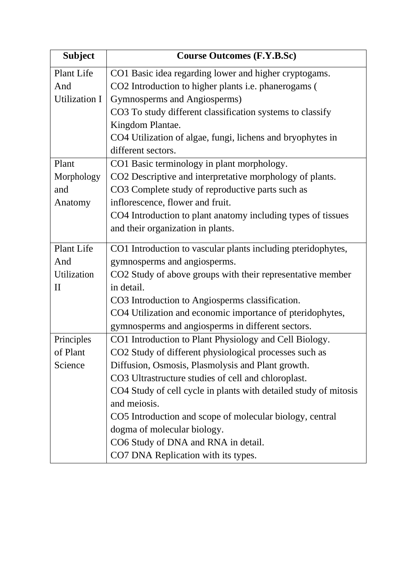| <b>Subject</b> | <b>Course Outcomes (F.Y.B.Sc)</b>                                |
|----------------|------------------------------------------------------------------|
| Plant Life     | CO1 Basic idea regarding lower and higher cryptogams.            |
| And            | CO2 Introduction to higher plants i.e. phanerogams (             |
| Utilization I  | Gymnosperms and Angiosperms)                                     |
|                | CO3 To study different classification systems to classify        |
|                | Kingdom Plantae.                                                 |
|                | CO4 Utilization of algae, fungi, lichens and bryophytes in       |
|                | different sectors.                                               |
| Plant          | CO1 Basic terminology in plant morphology.                       |
| Morphology     | CO2 Descriptive and interpretative morphology of plants.         |
| and            | CO3 Complete study of reproductive parts such as                 |
| Anatomy        | inflorescence, flower and fruit.                                 |
|                | CO4 Introduction to plant anatomy including types of tissues     |
|                | and their organization in plants.                                |
| Plant Life     | CO1 Introduction to vascular plants including pteridophytes,     |
| And            | gymnosperms and angiosperms.                                     |
| Utilization    | CO2 Study of above groups with their representative member       |
| $\rm II$       | in detail.                                                       |
|                | CO3 Introduction to Angiosperms classification.                  |
|                | CO4 Utilization and economic importance of pteridophytes,        |
|                | gymnosperms and angiosperms in different sectors.                |
| Principles     | CO1 Introduction to Plant Physiology and Cell Biology.           |
| of Plant       | CO2 Study of different physiological processes such as           |
| Science        | Diffusion, Osmosis, Plasmolysis and Plant growth.                |
|                | CO3 Ultrastructure studies of cell and chloroplast.              |
|                | CO4 Study of cell cycle in plants with detailed study of mitosis |
|                | and meiosis.                                                     |
|                | CO5 Introduction and scope of molecular biology, central         |
|                | dogma of molecular biology.                                      |
|                | CO6 Study of DNA and RNA in detail.                              |
|                | CO7 DNA Replication with its types.                              |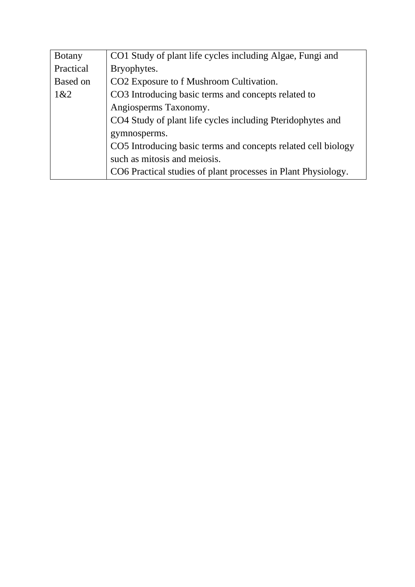| <b>Botany</b>   | CO1 Study of plant life cycles including Algae, Fungi and     |
|-----------------|---------------------------------------------------------------|
| Practical       | Bryophytes.                                                   |
| <b>Based on</b> | CO2 Exposure to f Mushroom Cultivation.                       |
| 1&2             | CO3 Introducing basic terms and concepts related to           |
|                 | Angiosperms Taxonomy.                                         |
|                 | CO4 Study of plant life cycles including Pteridophytes and    |
|                 | gymnosperms.                                                  |
|                 | CO5 Introducing basic terms and concepts related cell biology |
|                 | such as mitosis and meiosis.                                  |
|                 | CO6 Practical studies of plant processes in Plant Physiology. |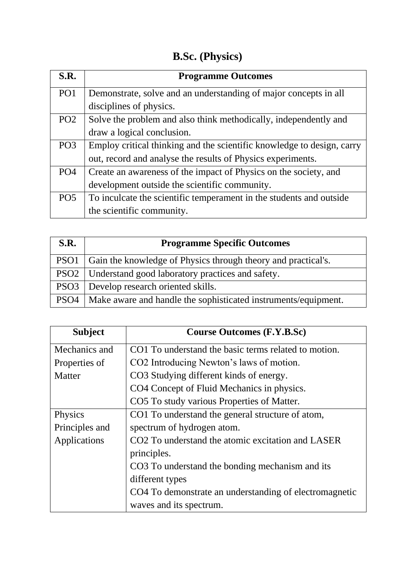# **B.Sc. (Physics)**

| S.R.            | <b>Programme Outcomes</b>                                              |
|-----------------|------------------------------------------------------------------------|
| PO <sub>1</sub> | Demonstrate, solve and an understanding of major concepts in all       |
|                 | disciplines of physics.                                                |
| PO <sub>2</sub> | Solve the problem and also think methodically, independently and       |
|                 | draw a logical conclusion.                                             |
| PO <sub>3</sub> | Employ critical thinking and the scientific knowledge to design, carry |
|                 | out, record and analyse the results of Physics experiments.            |
| PO <sub>4</sub> | Create an awareness of the impact of Physics on the society, and       |
|                 | development outside the scientific community.                          |
| PO <sub>5</sub> | To inculcate the scientific temperament in the students and outside    |
|                 | the scientific community.                                              |

| <b>S.R.</b>      | <b>Programme Specific Outcomes</b>                                    |
|------------------|-----------------------------------------------------------------------|
| PSO <sub>1</sub> | Gain the knowledge of Physics through theory and practical's.         |
|                  | PSO2   Understand good laboratory practices and safety.               |
|                  | PSO3 Develop research oriented skills.                                |
|                  | PSO4   Make aware and handle the sophisticated instruments/equipment. |

| <b>Subject</b> | <b>Course Outcomes (F.Y.B.Sc)</b>                             |
|----------------|---------------------------------------------------------------|
| Mechanics and  | CO1 To understand the basic terms related to motion.          |
| Properties of  | CO2 Introducing Newton's laws of motion.                      |
| Matter         | CO3 Studying different kinds of energy.                       |
|                | CO4 Concept of Fluid Mechanics in physics.                    |
|                | CO5 To study various Properties of Matter.                    |
| Physics        | CO1 To understand the general structure of atom,              |
| Principles and | spectrum of hydrogen atom.                                    |
| Applications   | CO <sub>2</sub> To understand the atomic excitation and LASER |
|                | principles.                                                   |
|                | CO3 To understand the bonding mechanism and its               |
|                | different types                                               |
|                | CO4 To demonstrate an understanding of electromagnetic        |
|                | waves and its spectrum.                                       |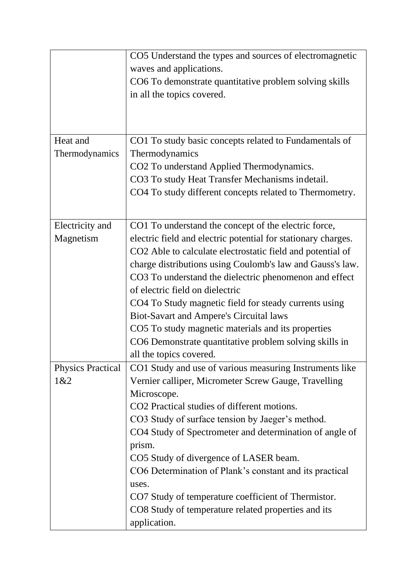|                          | CO5 Understand the types and sources of electromagnetic       |
|--------------------------|---------------------------------------------------------------|
|                          | waves and applications.                                       |
|                          | CO6 To demonstrate quantitative problem solving skills        |
|                          | in all the topics covered.                                    |
|                          |                                                               |
|                          |                                                               |
|                          |                                                               |
| Heat and                 | CO1 To study basic concepts related to Fundamentals of        |
| Thermodynamics           | Thermodynamics                                                |
|                          | CO2 To understand Applied Thermodynamics.                     |
|                          | CO3 To study Heat Transfer Mechanisms indetail.               |
|                          | CO4 To study different concepts related to Thermometry.       |
|                          |                                                               |
|                          |                                                               |
| Electricity and          | CO1 To understand the concept of the electric force,          |
| Magnetism                | electric field and electric potential for stationary charges. |
|                          | CO2 Able to calculate electrostatic field and potential of    |
|                          | charge distributions using Coulomb's law and Gauss's law.     |
|                          | CO3 To understand the dielectric phenomenon and effect        |
|                          | of electric field on dielectric                               |
|                          | CO4 To Study magnetic field for steady currents using         |
|                          | <b>Biot-Savart and Ampere's Circuital laws</b>                |
|                          | CO5 To study magnetic materials and its properties            |
|                          | CO6 Demonstrate quantitative problem solving skills in        |
|                          | all the topics covered.                                       |
| <b>Physics Practical</b> | CO1 Study and use of various measuring Instruments like       |
| 1&2                      | Vernier calliper, Micrometer Screw Gauge, Travelling          |
|                          | Microscope.                                                   |
|                          | CO2 Practical studies of different motions.                   |
|                          | CO3 Study of surface tension by Jaeger's method.              |
|                          | CO4 Study of Spectrometer and determination of angle of       |
|                          | prism.                                                        |
|                          | CO5 Study of divergence of LASER beam.                        |
|                          | CO6 Determination of Plank's constant and its practical       |
|                          | uses.                                                         |
|                          | CO7 Study of temperature coefficient of Thermistor.           |
|                          | CO8 Study of temperature related properties and its           |
|                          | application.                                                  |
|                          |                                                               |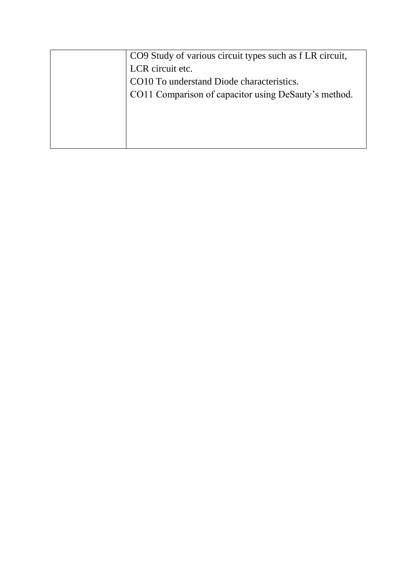| CO9 Study of various circuit types such as f LR circuit, |
|----------------------------------------------------------|
| LCR circuit etc.                                         |
| CO10 To understand Diode characteristics.                |
| CO11 Comparison of capacitor using DeSauty's method.     |
|                                                          |
|                                                          |
|                                                          |
|                                                          |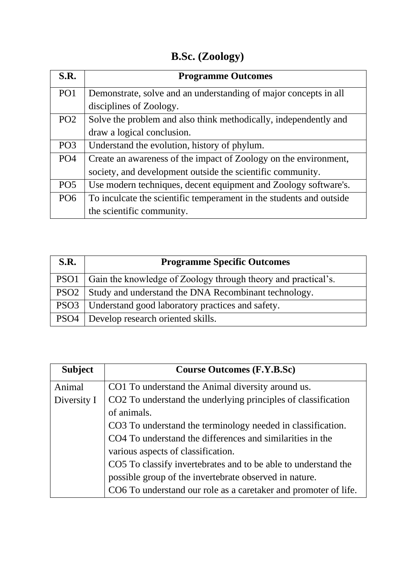### **B.Sc. (Zoology)**

| S.R.            | <b>Programme Outcomes</b>                                           |
|-----------------|---------------------------------------------------------------------|
| PO <sub>1</sub> | Demonstrate, solve and an understanding of major concepts in all    |
|                 | disciplines of Zoology.                                             |
| PO <sub>2</sub> | Solve the problem and also think methodically, independently and    |
|                 | draw a logical conclusion.                                          |
| PO <sub>3</sub> | Understand the evolution, history of phylum.                        |
| PO <sub>4</sub> | Create an awareness of the impact of Zoology on the environment,    |
|                 | society, and development outside the scientific community.          |
| PO <sub>5</sub> | Use modern techniques, decent equipment and Zoology software's.     |
| PO <sub>6</sub> | To inculcate the scientific temperament in the students and outside |
|                 | the scientific community.                                           |

| S.R.             | <b>Programme Specific Outcomes</b>                            |
|------------------|---------------------------------------------------------------|
| PSO <sub>1</sub> | Gain the knowledge of Zoology through theory and practical's. |
|                  | PSO2 Study and understand the DNA Recombinant technology.     |
|                  | PSO3   Understand good laboratory practices and safety.       |
|                  | PSO4   Develop research oriented skills.                      |

| <b>Subject</b> | <b>Course Outcomes (F.Y.B.Sc)</b>                               |
|----------------|-----------------------------------------------------------------|
| Animal         | CO1 To understand the Animal diversity around us.               |
| Diversity I    | CO2 To understand the underlying principles of classification   |
|                | of animals.                                                     |
|                | CO3 To understand the terminology needed in classification.     |
|                | CO4 To understand the differences and similarities in the       |
|                | various aspects of classification.                              |
|                | CO5 To classify invertebrates and to be able to understand the  |
|                | possible group of the invertebrate observed in nature.          |
|                | CO6 To understand our role as a caretaker and promoter of life. |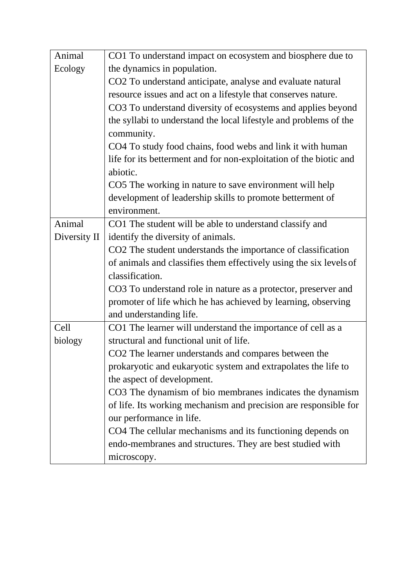| Animal       | CO1 To understand impact on ecosystem and biosphere due to         |
|--------------|--------------------------------------------------------------------|
| Ecology      | the dynamics in population.                                        |
|              | CO2 To understand anticipate, analyse and evaluate natural         |
|              | resource issues and act on a lifestyle that conserves nature.      |
|              | CO3 To understand diversity of ecosystems and applies beyond       |
|              | the syllabi to understand the local lifestyle and problems of the  |
|              | community.                                                         |
|              | CO4 To study food chains, food webs and link it with human         |
|              | life for its betterment and for non-exploitation of the biotic and |
|              | abiotic.                                                           |
|              | CO5 The working in nature to save environment will help            |
|              | development of leadership skills to promote betterment of          |
|              | environment.                                                       |
| Animal       | CO1 The student will be able to understand classify and            |
| Diversity II | identify the diversity of animals.                                 |
|              | CO2 The student understands the importance of classification       |
|              | of animals and classifies them effectively using the six levels of |
|              | classification.                                                    |
|              | CO3 To understand role in nature as a protector, preserver and     |
|              | promoter of life which he has achieved by learning, observing      |
|              | and understanding life.                                            |
| Cell         | CO1 The learner will understand the importance of cell as a        |
| biology      | structural and functional unit of life.                            |
|              | CO2 The learner understands and compares between the               |
|              | prokaryotic and eukaryotic system and extrapolates the life to     |
|              | the aspect of development.                                         |
|              | CO3 The dynamism of bio membranes indicates the dynamism           |
|              | of life. Its working mechanism and precision are responsible for   |
|              | our performance in life.                                           |
|              | CO4 The cellular mechanisms and its functioning depends on         |
|              | endo-membranes and structures. They are best studied with          |
|              | microscopy.                                                        |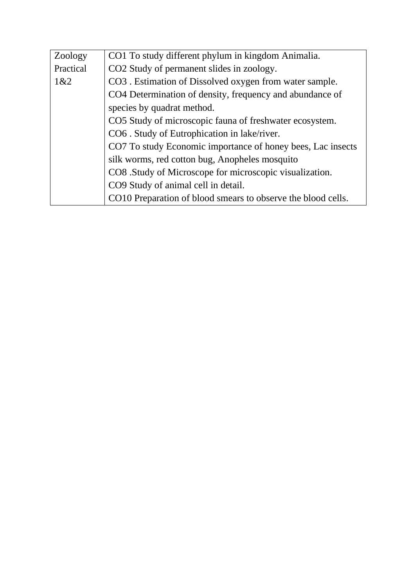| Zoology   | CO1 To study different phylum in kingdom Animalia.           |
|-----------|--------------------------------------------------------------|
| Practical | CO2 Study of permanent slides in zoology.                    |
| 1&82      | CO3 . Estimation of Dissolved oxygen from water sample.      |
|           | CO4 Determination of density, frequency and abundance of     |
|           | species by quadrat method.                                   |
|           | CO5 Study of microscopic fauna of freshwater ecosystem.      |
|           | CO6. Study of Eutrophication in lake/river.                  |
|           | CO7 To study Economic importance of honey bees, Lac insects  |
|           | silk worms, red cotton bug, Anopheles mosquito               |
|           | CO8 .Study of Microscope for microscopic visualization.      |
|           | CO9 Study of animal cell in detail.                          |
|           | CO10 Preparation of blood smears to observe the blood cells. |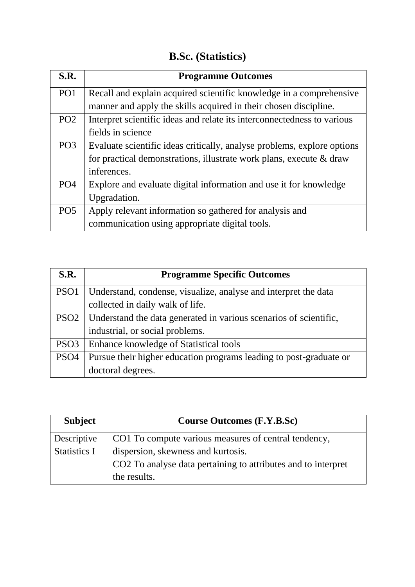## **B.Sc. (Statistics)**

| S.R.            | <b>Programme Outcomes</b>                                               |
|-----------------|-------------------------------------------------------------------------|
| PO <sub>1</sub> | Recall and explain acquired scientific knowledge in a comprehensive     |
|                 | manner and apply the skills acquired in their chosen discipline.        |
| PO <sub>2</sub> | Interpret scientific ideas and relate its interconnectedness to various |
|                 | fields in science                                                       |
| PO <sub>3</sub> | Evaluate scientific ideas critically, analyse problems, explore options |
|                 | for practical demonstrations, illustrate work plans, execute & draw     |
|                 | inferences.                                                             |
| PO <sub>4</sub> | Explore and evaluate digital information and use it for knowledge       |
|                 | Upgradation.                                                            |
| PO <sub>5</sub> | Apply relevant information so gathered for analysis and                 |
|                 | communication using appropriate digital tools.                          |

| S.R.             | <b>Programme Specific Outcomes</b>                                       |
|------------------|--------------------------------------------------------------------------|
| PSO <sub>1</sub> | Understand, condense, visualize, analyse and interpret the data          |
|                  | collected in daily walk of life.                                         |
|                  | PSO2   Understand the data generated in various scenarios of scientific, |
|                  | industrial, or social problems.                                          |
| PSO <sub>3</sub> | Enhance knowledge of Statistical tools                                   |
| PSO <sub>4</sub> | Pursue their higher education programs leading to post-graduate or       |
|                  | doctoral degrees.                                                        |

| <b>Subject</b>      | <b>Course Outcomes (F.Y.B.Sc)</b>                             |
|---------------------|---------------------------------------------------------------|
| Descriptive         | CO1 To compute various measures of central tendency,          |
| <b>Statistics I</b> | dispersion, skewness and kurtosis.                            |
|                     | CO2 To analyse data pertaining to attributes and to interpret |
|                     | the results.                                                  |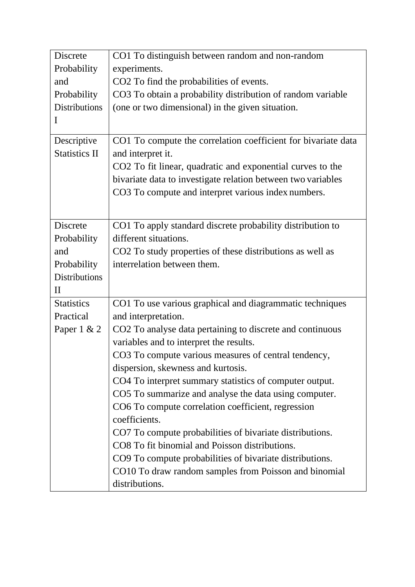| <b>Discrete</b>      | CO1 To distinguish between random and non-random              |
|----------------------|---------------------------------------------------------------|
| Probability          | experiments.                                                  |
| and                  | CO2 To find the probabilities of events.                      |
| Probability          | CO3 To obtain a probability distribution of random variable   |
| <b>Distributions</b> | (one or two dimensional) in the given situation.              |
| $\mathbf{I}$         |                                                               |
| Descriptive          | CO1 To compute the correlation coefficient for bivariate data |
| <b>Statistics II</b> | and interpret it.                                             |
|                      | CO2 To fit linear, quadratic and exponential curves to the    |
|                      | bivariate data to investigate relation between two variables  |
|                      | CO3 To compute and interpret various index numbers.           |
|                      |                                                               |
| <b>Discrete</b>      | CO1 To apply standard discrete probability distribution to    |
| Probability          | different situations.                                         |
| and                  | CO2 To study properties of these distributions as well as     |
| Probability          | interrelation between them.                                   |
| <b>Distributions</b> |                                                               |
| $\mathbf{I}$         |                                                               |
| <b>Statistics</b>    | CO1 To use various graphical and diagrammatic techniques      |
| Practical            | and interpretation.                                           |
| Paper $1 & 2$        | CO2 To analyse data pertaining to discrete and continuous     |
|                      | variables and to interpret the results.                       |
|                      | CO3 To compute various measures of central tendency,          |
|                      | dispersion, skewness and kurtosis.                            |
|                      | CO4 To interpret summary statistics of computer output.       |
|                      | CO5 To summarize and analyse the data using computer.         |
|                      | CO6 To compute correlation coefficient, regression            |
|                      | coefficients.                                                 |
|                      | CO7 To compute probabilities of bivariate distributions.      |
|                      | CO8 To fit binomial and Poisson distributions.                |
|                      | CO9 To compute probabilities of bivariate distributions.      |
|                      | CO10 To draw random samples from Poisson and binomial         |
|                      | distributions.                                                |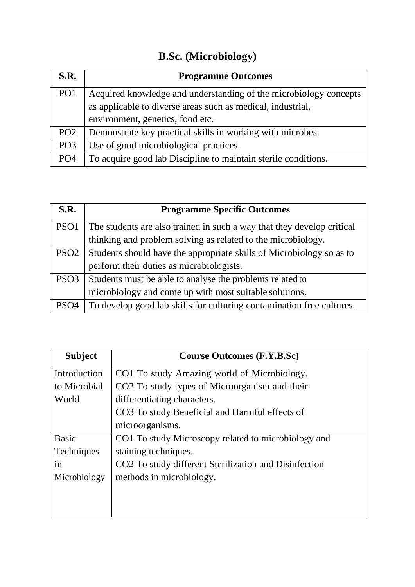# **B.Sc. (Microbiology)**

| S.R.            | <b>Programme Outcomes</b>                                         |
|-----------------|-------------------------------------------------------------------|
| PO <sub>1</sub> | Acquired knowledge and understanding of the microbiology concepts |
|                 | as applicable to diverse areas such as medical, industrial,       |
|                 | environment, genetics, food etc.                                  |
| PO <sub>2</sub> | Demonstrate key practical skills in working with microbes.        |
| PO <sub>3</sub> | Use of good microbiological practices.                            |
| PO <sub>4</sub> | To acquire good lab Discipline to maintain sterile conditions.    |

| S.R.             | <b>Programme Specific Outcomes</b>                                     |
|------------------|------------------------------------------------------------------------|
| PSO <sub>1</sub> | The students are also trained in such a way that they develop critical |
|                  | thinking and problem solving as related to the microbiology.           |
| PSO <sub>2</sub> | Students should have the appropriate skills of Microbiology so as to   |
|                  | perform their duties as microbiologists.                               |
| PSO <sub>3</sub> | Students must be able to analyse the problems related to               |
|                  | microbiology and come up with most suitable solutions.                 |
| PSO <sub>4</sub> | To develop good lab skills for culturing contamination free cultures.  |

| <b>Subject</b>    | <b>Course Outcomes (F.Y.B.Sc)</b>                     |
|-------------------|-------------------------------------------------------|
| Introduction      | CO1 To study Amazing world of Microbiology.           |
| to Microbial      | CO2 To study types of Microorganism and their         |
| World             | differentiating characters.                           |
|                   | CO3 To study Beneficial and Harmful effects of        |
|                   | microorganisms.                                       |
| <b>Basic</b>      | CO1 To study Microscopy related to microbiology and   |
| <b>Techniques</b> | staining techniques.                                  |
| 1n                | CO2 To study different Sterilization and Disinfection |
| Microbiology      | methods in microbiology.                              |
|                   |                                                       |
|                   |                                                       |
|                   |                                                       |